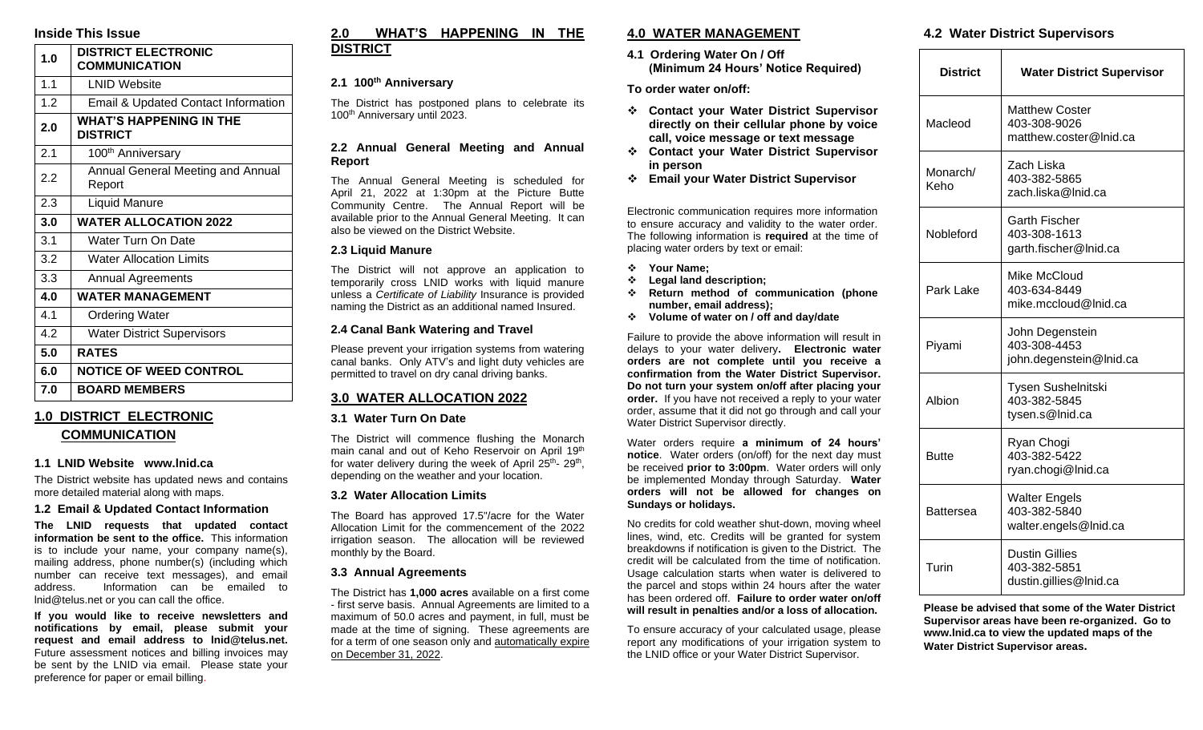## **Inside This Issue**

| 1.0 | <b>DISTRICT ELECTRONIC</b><br><b>COMMUNICATION</b> |
|-----|----------------------------------------------------|
| 1.1 | <b>LNID Website</b>                                |
| 1.2 | Email & Updated Contact Information                |
| 2.0 | <b>WHAT'S HAPPENING IN THE</b><br><b>DISTRICT</b>  |
| 2.1 | 100 <sup>th</sup> Anniversary                      |
| 2.2 | Annual General Meeting and Annual<br>Report        |
| 2.3 | <b>Liquid Manure</b>                               |
| 3.0 | <b>WATER ALLOCATION 2022</b>                       |
| 3.1 | Water Turn On Date                                 |
| 3.2 | <b>Water Allocation Limits</b>                     |
| 3.3 | <b>Annual Agreements</b>                           |
| 4.0 | <b>WATER MANAGEMENT</b>                            |
| 4.1 | <b>Ordering Water</b>                              |
| 4.2 | <b>Water District Supervisors</b>                  |
| 5.0 | <b>RATES</b>                                       |
| 6.0 | <b>NOTICE OF WEED CONTROL</b>                      |
| 7.0 | <b>BOARD MEMBERS</b>                               |
|     |                                                    |

## **1.0 DISTRICT ELECTRONIC COMMUNICATION**

#### **1.1 LNID Website www.lnid.ca**

The District website has updated news and contains more detailed material along with maps.

#### **1.2 Email & Updated Contact Information**

**The LNID requests that updated contact information be sent to the office.** This information is to include your name, your company name(s), mailing address, phone number(s) (including which number can receive text messages), and email address. Information can be emailed to lnid@telus.net or you can call the office.

**If you would like to receive newsletters and notifications by email, please submit your request and email address to lnid@telus.net.** Future assessment notices and billing invoices may be sent by the LNID via email. Please state your preference for paper or email billing.

## **2.0 WHAT'S HAPPENING IN THE DISTRICT**

#### **2.1 100th Anniversary**

The District has postponed plans to celebrate its 100<sup>th</sup> Anniversary until 2023.

#### **2.2 Annual General Meeting and Annual Report**

The Annual General Meeting is scheduled for April 21, 2022 at 1:30pm at the Picture Butte Community Centre. The Annual Report will be available prior to the Annual General Meeting. It can also be viewed on the District Website.

#### **2.3 Liquid Manure**

The District will not approve an application to temporarily cross LNID works with liquid manure unless a *Certificate of Liability* Insurance is provided naming the District as an additional named Insured.

### **2.4 Canal Bank Watering and Travel**

Please prevent your irrigation systems from watering canal banks. Only ATV's and light duty vehicles are permitted to travel on dry canal driving banks.

## **3.0 WATER ALLOCATION 2022**

#### **3.1 Water Turn On Date**

The District will commence flushing the Monarch main canal and out of Keho Reservoir on April 19<sup>th</sup> for water delivery during the week of April 25<sup>th</sup>- 29<sup>th</sup>, depending on the weather and your location.

#### **3.2 Water Allocation Limits**

The Board has approved 17.5"/acre for the Water Allocation Limit for the commencement of the 2022 irrigation season. The allocation will be reviewed monthly by the Board.

#### **3.3 Annual Agreements**

The District has **1,000 acres** available on a first come - first serve basis. Annual Agreements are limited to a maximum of 50.0 acres and payment, in full, must be made at the time of signing. These agreements are for a term of one season only and automatically expire on December 31, 2022.

## **4.0 WATER MANAGEMENT**

**4.1 Ordering Water On / Off (Minimum 24 Hours' Notice Required)**

**To order water on/off:** 

- ❖ **Contact your Water District Supervisor directly on their cellular phone by voice call, voice message or text message**
- ❖ **Contact your Water District Supervisor in person**
- ❖ **Email your Water District Supervisor**

Electronic communication requires more information to ensure accuracy and validity to the water order. The following information is **required** at the time of placing water orders by text or email:

- ❖ **Your Name;**
- ❖ **Legal land description;**
- ❖ **Return method of communication (phone number, email address);**
- ❖ **Volume of water on / off and day/date**

Failure to provide the above information will result in delays to your water delivery**. Electronic water orders are not complete until you receive a confirmation from the Water District Supervisor. Do not turn your system on/off after placing your order.** If you have not received a reply to your water order, assume that it did not go through and call your Water District Supervisor directly.

Water orders require **a minimum of 24 hours' notice**. Water orders (on/off) for the next day must be received **prior to 3:00pm**. Water orders will only be implemented Monday through Saturday. **Water orders will not be allowed for changes on Sundays or holidays.**

No credits for cold weather shut-down, moving wheel lines, wind, etc. Credits will be granted for system breakdowns if notification is given to the District. The credit will be calculated from the time of notification. Usage calculation starts when water is delivered to the parcel and stops within 24 hours after the water has been ordered off. **Failure to order water on/off will result in penalties and/or a loss of allocation.**

To ensure accuracy of your calculated usage, please report any modifications of your irrigation system to the LNID office or your Water District Supervisor.

### **4.2 Water District Supervisors**

| <b>District</b>  | <b>Water District Supervisor</b>                                |
|------------------|-----------------------------------------------------------------|
| Macleod          | <b>Matthew Coster</b><br>403-308-9026<br>matthew.coster@lnid.ca |
| Monarch/<br>Keho | Zach Liska<br>403-382-5865<br>zach.liska@Inid.ca                |
| Nobleford        | Garth Fischer<br>403-308-1613<br>garth.fischer@Inid.ca          |
| Park Lake        | Mike McCloud<br>403-634-8449<br>mike.mccloud@lnid.ca            |
| Piyami           | John Degenstein<br>403-308-4453<br>john.degenstein@Inid.ca      |
| Albion           | <b>Tysen Sushelnitski</b><br>403-382-5845<br>tysen.s@Inid.ca    |
| Butte            | Ryan Chogi<br>403-382-5422<br>ryan.chogi@lnid.ca                |
| Battersea        | <b>Walter Engels</b><br>403-382-5840<br>walter.engels@Inid.ca   |
| Turin            | <b>Dustin Gillies</b><br>403-382-5851<br>dustin.gillies@Inid.ca |

**Please be advised that some of the Water District Supervisor areas have been re-organized. Go to www.lnid.ca to view the updated maps of the Water District Supervisor areas.**